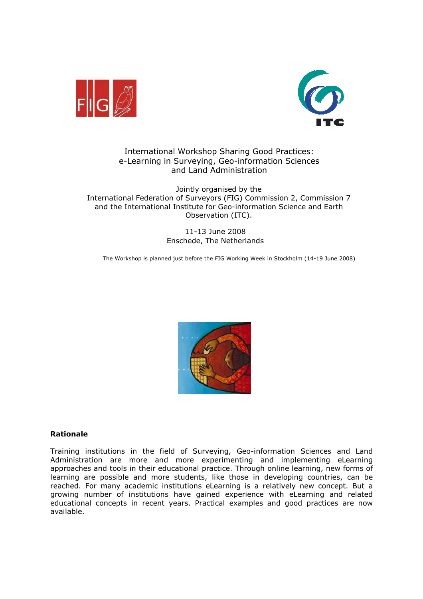



# International Workshop Sharing Good Practices: e-Learning in Surveying, Geo-information Sciences and Land Administration

Jointly organised by the International Federation of Surveyors (FIG) Commission 2, Commission 7 and the International Institute for Geo-information Science and Earth Observation (ITC).

> 11-13 June 2008 Enschede, The Netherlands

The Workshop is planned just before the FIG Working Week in Stockholm (14-19 June 2008)



#### Rationale

Training institutions in the field of Surveying, Geo-information Sciences and Land Administration are more and more experimenting and implementing eLearning approaches and tools in their educational practice. Through online learning, new forms of learning are possible and more students, like those in developing countries, can be reached. For many academic institutions eLearning is a relatively new concept. But a growing number of institutions have gained experience with eLearning and related educational concepts in recent years. Practical examples and good practices are now available.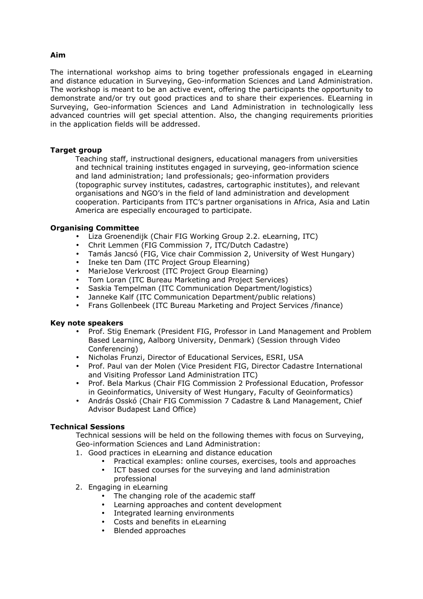### Aim

The international workshop aims to bring together professionals engaged in eLearning and distance education in Surveying, Geo-information Sciences and Land Administration. The workshop is meant to be an active event, offering the participants the opportunity to demonstrate and/or try out good practices and to share their experiences. ELearning in Surveying, Geo-information Sciences and Land Administration in technologically less advanced countries will get special attention. Also, the changing requirements priorities in the application fields will be addressed.

### Target group

Teaching staff, instructional designers, educational managers from universities and technical training institutes engaged in surveying, geo-information science and land administration; land professionals; geo-information providers (topographic survey institutes, cadastres, cartographic institutes), and relevant organisations and NGO's in the field of land administration and development cooperation. Participants from ITC's partner organisations in Africa, Asia and Latin America are especially encouraged to participate.

#### Organising Committee

- Liza Groenendijk (Chair FIG Working Group 2.2. eLearning, ITC)
- Chrit Lemmen (FIG Commission 7, ITC/Dutch Cadastre)
- Tamás Jancsó (FIG, Vice chair Commission 2, University of West Hungary)
- Ineke ten Dam (ITC Project Group Elearning)
- MarieJose Verkroost (ITC Project Group Elearning)
- Tom Loran (ITC Bureau Marketing and Project Services)
- Saskia Tempelman (ITC Communication Department/logistics)
- Janneke Kalf (ITC Communication Department/public relations)
- Frans Gollenbeek (ITC Bureau Marketing and Project Services /finance)

#### Key note speakers

- Prof. Stig Enemark (President FIG, Professor in Land Management and Problem Based Learning, Aalborg University, Denmark) (Session through Video Conferencing)
- Nicholas Frunzi, Director of Educational Services, ESRI, USA
- Prof. Paul van der Molen (Vice President FIG, Director Cadastre International and Visiting Professor Land Administration ITC)
- Prof. Bela Markus (Chair FIG Commission 2 Professional Education, Professor in Geoinformatics, University of West Hungary, Faculty of Geoinformatics)
- András Osskó (Chair FIG Commission 7 Cadastre & Land Management, Chief Advisor Budapest Land Office)

#### Technical Sessions

 Technical sessions will be held on the following themes with focus on Surveying, Geo-information Sciences and Land Administration:

- 1. Good practices in eLearning and distance education
	- Practical examples: online courses, exercises, tools and approaches
	- ICT based courses for the surveying and land administration professional
- 2. Engaging in eLearning
	- The changing role of the academic staff
	- Learning approaches and content development
	- Integrated learning environments
	- Costs and benefits in eLearning
	- Blended approaches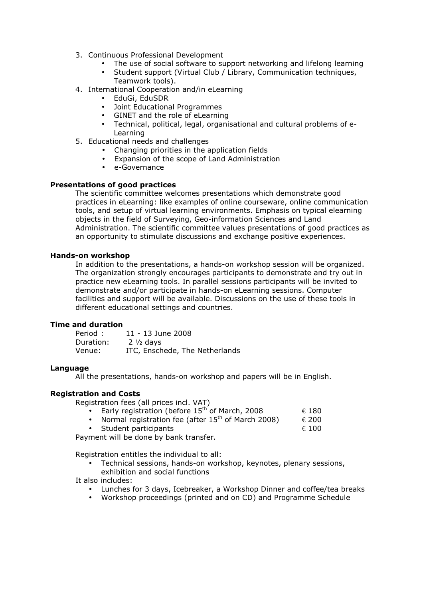- 3. Continuous Professional Development
	- The use of social software to support networking and lifelong learning
	- Student support (Virtual Club / Library, Communication techniques, Teamwork tools).
- 4. International Cooperation and/in eLearning
	- EduGi, EduSDR
	- Joint Educational Programmes
	- GINET and the role of eLearning
	- Technical, political, legal, organisational and cultural problems of e-Learning
- 5. Educational needs and challenges
	- Changing priorities in the application fields
	- Expansion of the scope of Land Administration
	- e-Governance

### Presentations of good practices

The scientific committee welcomes presentations which demonstrate good practices in eLearning: like examples of online courseware, online communication tools, and setup of virtual learning environments. Emphasis on typical elearning objects in the field of Surveying, Geo-information Sciences and Land Administration. The scientific committee values presentations of good practices as an opportunity to stimulate discussions and exchange positive experiences.

#### Hands-on workshop

In addition to the presentations, a hands-on workshop session will be organized. The organization strongly encourages participants to demonstrate and try out in practice new eLearning tools. In parallel sessions participants will be invited to demonstrate and/or participate in hands-on eLearning sessions. Computer facilities and support will be available. Discussions on the use of these tools in different educational settings and countries.

### Time and duration

| Period:   | 11 - 13 June 2008              |
|-----------|--------------------------------|
| Duration: | $2\frac{1}{2}$ davs            |
| Venue:    | ITC, Enschede, The Netherlands |

#### Language

All the presentations, hands-on workshop and papers will be in English.

#### Registration and Costs

Registration fees (all prices incl. VAT)

- Early registration (before  $15^{th}$  of March, 2008  $\epsilon$  180
- Normal registration fee (after  $15^{th}$  of March 2008)  $\epsilon$  200
- Student participants  $\epsilon$  100

Payment will be done by bank transfer.

Registration entitles the individual to all:

• Technical sessions, hands-on workshop, keynotes, plenary sessions, exhibition and social functions

It also includes:

- Lunches for 3 days, Icebreaker, a Workshop Dinner and coffee/tea breaks
- Workshop proceedings (printed and on CD) and Programme Schedule